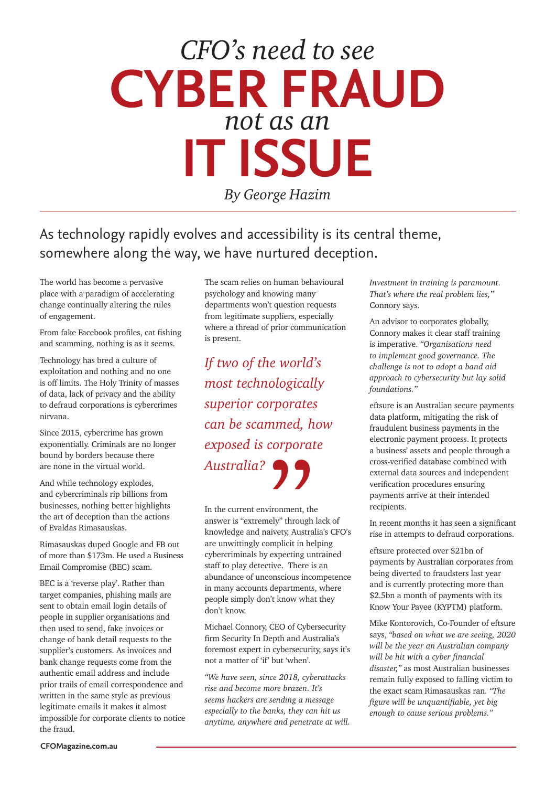## **CYBER FRAUD**  *not as an*  **IT ISSUE**  *CFO's need to see*

*By George Hazim*

## As technology rapidly evolves and accessibility is its central theme, somewhere along the way, we have nurtured deception.

The world has become a pervasive place with a paradigm of accelerating change continually altering the rules of engagement.

From fake Facebook profiles, cat fishing and scamming, nothing is as it seems.

Technology has bred a culture of exploitation and nothing and no one is off limits. The Holy Trinity of masses of data, lack of privacy and the ability to defraud corporations is cybercrimes nirvana.

Since 2015, cybercrime has grown exponentially. Criminals are no longer bound by borders because there are none in the virtual world.

And while technology explodes, and cybercriminals rip billions from businesses, nothing better highlights the art of deception than the actions of Evaldas Rimasauskas.

Rimasauskas duped Google and FB out of more than \$173m. He used a Business Email Compromise (BEC) scam.

BEC is a 'reverse play'. Rather than target companies, phishing mails are sent to obtain email login details of people in supplier organisations and then used to send, fake invoices or change of bank detail requests to the supplier's customers. As invoices and bank change requests come from the authentic email address and include prior trails of email correspondence and written in the same style as previous legitimate emails it makes it almost impossible for corporate clients to notice the fraud.

The scam relies on human behavioural psychology and knowing many departments won't question requests from legitimate suppliers, especially where a thread of prior communication is present.

*If two of the world's most technologically superior corporates can be scammed, how exposed is corporate Australia?*

In the current environment, the answer is "extremely" through lack of knowledge and naivety, Australia's CFO's are unwittingly complicit in helping cybercriminals by expecting untrained staff to play detective. There is an abundance of unconscious incompetence in many accounts departments, where people simply don't know what they don't know. **A**<br>
ironment, the<br>
ly" through<br>
ivety, Austra<br>
mplicit in he<br>
expecting un

Michael Connory, CEO of Cybersecurity firm Security In Depth and Australia's foremost expert in cybersecurity, says it's not a matter of 'if' but 'when'.

*"We have seen, since 2018, cyberattacks rise and become more brazen. It's seems hackers are sending a message especially to the banks, they can hit us anytime, anywhere and penetrate at will.*  *Investment in training is paramount. That's where the real problem lies,"*  Connory says.

An advisor to corporates globally, Connory makes it clear staff training is imperative. *"Organisations need to implement good governance. The challenge is not to adopt a band aid approach to cybersecurity but lay solid foundations."*

eftsure is an Australian secure payments data platform, mitigating the risk of fraudulent business payments in the electronic payment process. It protects a business' assets and people through a cross-verified database combined with external data sources and independent verification procedures ensuring payments arrive at their intended recipients.

In recent months it has seen a significant rise in attempts to defraud corporations.

eftsure protected over \$21bn of payments by Australian corporates from being diverted to fraudsters last year and is currently protecting more than \$2.5bn a month of payments with its Know Your Payee (KYPTM) platform.

Mike Kontorovich, Co-Founder of eftsure says, *"based on what we are seeing, 2020 will be the year an Australian company will be hit with a cyber financial disaster,"* as most Australian businesses remain fully exposed to falling victim to the exact scam Rimasauskas ran. *"The figure will be unquantifiable, yet big enough to cause serious problems."*